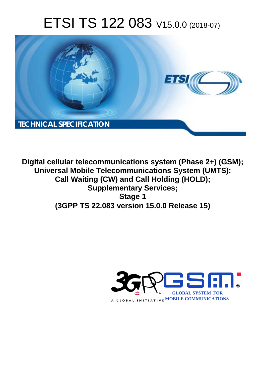# ETSI TS 122 083 V15.0.0 (2018-07)



**Digital cellular telecommunications system (Phase 2+) (GSM); Universal Mobile Telecommunications System (UMTS); Call Waiting (CW) and Call Holding (HOLD); Supplementary Services; Stage 1 (3GPP TS 22.083 version 15.0.0 Release 15)** 

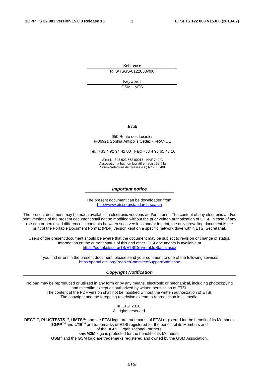Reference RTS/TSGS-0122083vf00

> Keywords GSM,UMTS

#### *ETSI*

#### 650 Route des Lucioles F-06921 Sophia Antipolis Cedex - FRANCE

Tel.: +33 4 92 94 42 00 Fax: +33 4 93 65 47 16

Siret N° 348 623 562 00017 - NAF 742 C Association à but non lucratif enregistrée à la Sous-Préfecture de Grasse (06) N° 7803/88

#### *Important notice*

The present document can be downloaded from: <http://www.etsi.org/standards-search>

The present document may be made available in electronic versions and/or in print. The content of any electronic and/or print versions of the present document shall not be modified without the prior written authorization of ETSI. In case of any existing or perceived difference in contents between such versions and/or in print, the only prevailing document is the print of the Portable Document Format (PDF) version kept on a specific network drive within ETSI Secretariat.

Users of the present document should be aware that the document may be subject to revision or change of status. Information on the current status of this and other ETSI documents is available at <https://portal.etsi.org/TB/ETSIDeliverableStatus.aspx>

If you find errors in the present document, please send your comment to one of the following services: <https://portal.etsi.org/People/CommiteeSupportStaff.aspx>

#### *Copyright Notification*

No part may be reproduced or utilized in any form or by any means, electronic or mechanical, including photocopying and microfilm except as authorized by written permission of ETSI. The content of the PDF version shall not be modified without the written authorization of ETSI. The copyright and the foregoing restriction extend to reproduction in all media.

> © ETSI 2018. All rights reserved.

**DECT**TM, **PLUGTESTS**TM, **UMTS**TM and the ETSI logo are trademarks of ETSI registered for the benefit of its Members. **3GPP**TM and **LTE**TM are trademarks of ETSI registered for the benefit of its Members and of the 3GPP Organizational Partners. **oneM2M** logo is protected for the benefit of its Members.

**GSM**® and the GSM logo are trademarks registered and owned by the GSM Association.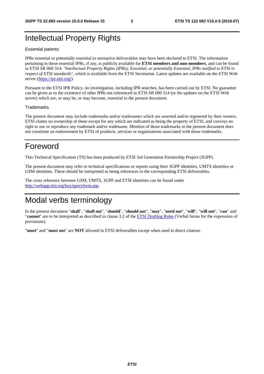## Intellectual Property Rights

#### Essential patents

IPRs essential or potentially essential to normative deliverables may have been declared to ETSI. The information pertaining to these essential IPRs, if any, is publicly available for **ETSI members and non-members**, and can be found in ETSI SR 000 314: *"Intellectual Property Rights (IPRs); Essential, or potentially Essential, IPRs notified to ETSI in respect of ETSI standards"*, which is available from the ETSI Secretariat. Latest updates are available on the ETSI Web server ([https://ipr.etsi.org/\)](https://ipr.etsi.org/).

Pursuant to the ETSI IPR Policy, no investigation, including IPR searches, has been carried out by ETSI. No guarantee can be given as to the existence of other IPRs not referenced in ETSI SR 000 314 (or the updates on the ETSI Web server) which are, or may be, or may become, essential to the present document.

#### **Trademarks**

The present document may include trademarks and/or tradenames which are asserted and/or registered by their owners. ETSI claims no ownership of these except for any which are indicated as being the property of ETSI, and conveys no right to use or reproduce any trademark and/or tradename. Mention of those trademarks in the present document does not constitute an endorsement by ETSI of products, services or organizations associated with those trademarks.

## Foreword

This Technical Specification (TS) has been produced by ETSI 3rd Generation Partnership Project (3GPP).

The present document may refer to technical specifications or reports using their 3GPP identities, UMTS identities or GSM identities. These should be interpreted as being references to the corresponding ETSI deliverables.

The cross reference between GSM, UMTS, 3GPP and ETSI identities can be found under [http://webapp.etsi.org/key/queryform.asp.](http://webapp.etsi.org/key/queryform.asp)

## Modal verbs terminology

In the present document "**shall**", "**shall not**", "**should**", "**should not**", "**may**", "**need not**", "**will**", "**will not**", "**can**" and "**cannot**" are to be interpreted as described in clause 3.2 of the [ETSI Drafting Rules](https://portal.etsi.org/Services/editHelp!/Howtostart/ETSIDraftingRules.aspx) (Verbal forms for the expression of provisions).

"**must**" and "**must not**" are **NOT** allowed in ETSI deliverables except when used in direct citation.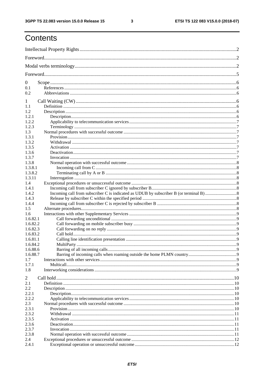$\mathbf{3}$ 

## Contents

| $\mathbf{0}$   |             |             |  |  |  |  |
|----------------|-------------|-------------|--|--|--|--|
| 0.1            |             |             |  |  |  |  |
| 0.2            |             |             |  |  |  |  |
| 1              |             |             |  |  |  |  |
| 1.1            |             |             |  |  |  |  |
| 1.2            |             |             |  |  |  |  |
| 1.2.1          |             |             |  |  |  |  |
| 1.2.2          |             |             |  |  |  |  |
| 1.2.3          |             |             |  |  |  |  |
| 1.3<br>1.3.1   |             |             |  |  |  |  |
| 1.3.2          |             |             |  |  |  |  |
| 1.3.5          |             |             |  |  |  |  |
| 1.3.6          |             |             |  |  |  |  |
| 1.3.7          |             |             |  |  |  |  |
| 1.3.8          |             |             |  |  |  |  |
| 1.3.8.1        |             |             |  |  |  |  |
| 1.3.8.2        |             |             |  |  |  |  |
| 1.3.11         |             |             |  |  |  |  |
| 1.4            |             |             |  |  |  |  |
| 1.4.1          |             |             |  |  |  |  |
| 1.4.2          |             |             |  |  |  |  |
| 1.4.3<br>1.4.4 |             |             |  |  |  |  |
| 1.5            |             |             |  |  |  |  |
| 1.6            |             |             |  |  |  |  |
| 1.6.82.1       |             |             |  |  |  |  |
| 1.6.82.2       |             |             |  |  |  |  |
| 1.6.82.3       |             |             |  |  |  |  |
| 1.6.83.2       |             |             |  |  |  |  |
| 1.6.81.1       |             |             |  |  |  |  |
| 1.6.84.2       | MultiParty. | $\mathbf Q$ |  |  |  |  |
| 1.6.88.6       |             |             |  |  |  |  |
| 1.6.88.7       |             |             |  |  |  |  |
| 1.7            |             |             |  |  |  |  |
| 1.7.1          |             |             |  |  |  |  |
| 1.8            |             |             |  |  |  |  |
| 2              |             |             |  |  |  |  |
| 2.1            |             |             |  |  |  |  |
| 2.2            |             |             |  |  |  |  |
| 2.2.1          |             |             |  |  |  |  |
| 2.2.2          |             |             |  |  |  |  |
| 2.3<br>2.3.1   |             |             |  |  |  |  |
| 2.3.2          |             |             |  |  |  |  |
| 2.3.5          |             |             |  |  |  |  |
| 2.3.6          |             |             |  |  |  |  |
| 2.3.7          |             |             |  |  |  |  |
| 2.3.8          |             |             |  |  |  |  |
| 2.4            |             |             |  |  |  |  |
| 2.4.1          |             |             |  |  |  |  |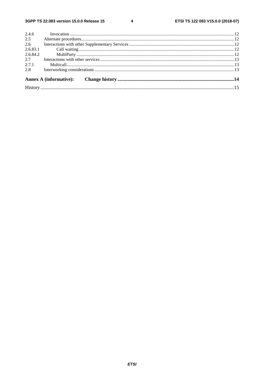$\overline{\mathbf{4}}$ 

| 2.4.6    |  |  |  |  |  |  |  |
|----------|--|--|--|--|--|--|--|
| 2.5      |  |  |  |  |  |  |  |
| 2.6      |  |  |  |  |  |  |  |
| 2.6.83.1 |  |  |  |  |  |  |  |
|          |  |  |  |  |  |  |  |
| 2.7      |  |  |  |  |  |  |  |
| 2.7.1    |  |  |  |  |  |  |  |
| 2.8      |  |  |  |  |  |  |  |
|          |  |  |  |  |  |  |  |
|          |  |  |  |  |  |  |  |
|          |  |  |  |  |  |  |  |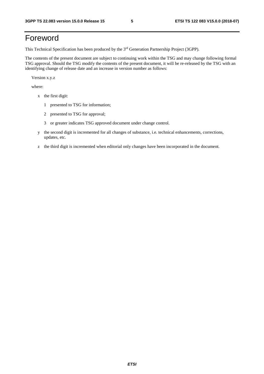## Foreword

This Technical Specification has been produced by the 3rd Generation Partnership Project (3GPP).

The contents of the present document are subject to continuing work within the TSG and may change following formal TSG approval. Should the TSG modify the contents of the present document, it will be re-released by the TSG with an identifying change of release date and an increase in version number as follows:

Version x.y.z

where:

- x the first digit:
	- 1 presented to TSG for information;
	- 2 presented to TSG for approval;
	- 3 or greater indicates TSG approved document under change control.
- y the second digit is incremented for all changes of substance, i.e. technical enhancements, corrections, updates, etc.
- z the third digit is incremented when editorial only changes have been incorporated in the document.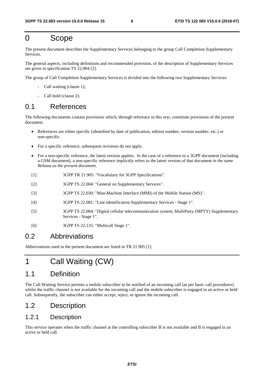## 0 Scope

The present document describes the Supplementary Services belonging to the group Call Completion Supplementary Services.

The general aspects, including definitions and recommended provision, of the description of Supplementary Services are given in specification TS 22.004 [2].

The group of Call Completion Supplementary Services is divided into the following two Supplementary Services:

- Call waiting (clause 1);
- Call hold (clause 2).

## 0.1 References

The following documents contain provisions which, through reference in this text, constitute provisions of the present document.

- References are either specific (identified by date of publication, edition number, version number, etc.) or non-specific.
- For a specific reference, subsequent revisions do not apply.
- For a non-specific reference, the latest version applies. In the case of a reference to a 3GPP document (including a GSM document), a non-specific reference implicitly refers to the latest version of that document *in the same Release as the present document*.
- [1] 3GPP TR 21.905: "Vocabulary for 3GPP Specifications".
- [2] 3GPP TS 22.004: "General on Supplementary Services".
- [3] 3GPP TS 22.030: "Man-Machine Interface (MMI) of the Mobile Station (MS)".
- [4] 3GPP TS 22.081: "Line identification Supplementary Services Stage 1".
- [5] 3GPP TS 22.084: "Digital cellular telecommunication system; MultiParty (MPTY) Supplementary Services - Stage 1".
- [6] 3GPP TS 22.135: "Multicall Stage 1".

## 0.2 Abbreviations

Abbreviations used in the present document are listed in TR 21.905 [1].

## 1 Call Waiting (CW)

## 1.1 Definition

The Call Waiting Service permits a mobile subscriber to be notified of an incoming call (as per basic call procedures) whilst the traffic channel is not available for the incoming call and the mobile subscriber is engaged in an active or held call. Subsequently, the subscriber can either accept, reject, or ignore the incoming call.

## 1.2 Description

### 1.2.1 Description

This service operates when the traffic channel at the controlling subscriber B is not available and B is engaged in an active or held call.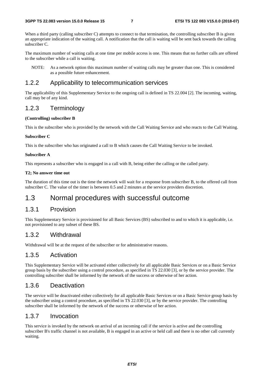When a third party (calling subscriber C) attempts to connect to that termination, the controlling subscriber B is given an appropriate indication of the waiting call. A notification that the call is waiting will be sent back towards the calling subscriber C.

The maximum number of waiting calls at one time per mobile access is one. This means that no further calls are offered to the subscriber while a call is waiting.

NOTE: As a network option this maximum number of waiting calls may be greater than one. This is considered as a possible future enhancement.

#### 1.2.2 Applicability to telecommunication services

The applicability of this Supplementary Service to the ongoing call is defined in TS 22.004 [2]. The incoming, waiting, call may be of any kind.

#### 1.2.3 Terminology

#### **(Controlling) subscriber B**

This is the subscriber who is provided by the network with the Call Waiting Service and who reacts to the Call Waiting.

#### **Subscriber C**

This is the subscriber who has originated a call to B which causes the Call Waiting Service to be invoked.

#### **Subscriber A**

This represents a subscriber who is engaged in a call with B, being either the calling or the called party.

#### **T2; No answer time out**

The duration of this time out is the time the network will wait for a response from subscriber B, to the offered call from subscriber C. The value of the timer is between 0.5 and 2 minutes at the service providers discretion.

## 1.3 Normal procedures with successful outcome

#### 1.3.1 Provision

This Supplementary Service is provisioned for all Basic Services (BS) subscribed to and to which it is applicable, i.e. not provisioned to any subset of these BS.

#### 1.3.2 Withdrawal

Withdrawal will be at the request of the subscriber or for administrative reasons.

#### 1.3.5 Activation

This Supplementary Service will be activated either collectively for all applicable Basic Services or on a Basic Service group basis by the subscriber using a control procedure, as specified in TS 22.030 [3], or by the service provider. The controlling subscriber shall be informed by the network of the success or otherwise of her action.

#### 1.3.6 Deactivation

The service will be deactivated either collectively for all applicable Basic Services or on a Basic Service group basis by the subscriber using a control procedure, as specified in TS 22.030 [3], or by the service provider. The controlling subscriber shall be informed by the network of the success or otherwise of her action.

#### 1.3.7 Invocation

This service is invoked by the network on arrival of an incoming call if the service is active and the controlling subscriber B's traffic channel is not available, B is engaged in an active or held call and there is no other call currently waiting.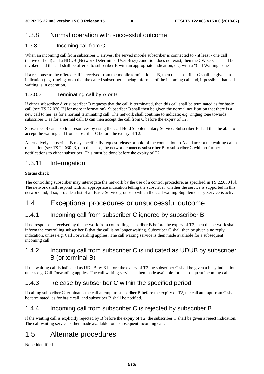### 1.3.8 Normal operation with successful outcome

#### 1.3.8.1 Incoming call from C

When an incoming call from subscriber C arrives, the served mobile subscriber is connected to - at least - one call (active or held) and a NDUB (Network Determined User Busy) condition does not exist, then the CW service shall be invoked and the call shall be offered to subscriber B with an appropriate indication, e.g. with a "Call Waiting Tone".

If a response to the offered call is received from the mobile termination at B, then the subscriber C shall be given an indication (e.g. ringing tone) that the called subscriber is being informed of the incoming call and, if possible, that call waiting is in operation.

#### 1.3.8.2 Terminating call by A or B

If either subscriber A or subscriber B requests that the call is terminated, then this call shall be terminated as for basic call (see TS 22.030 [3] for more information). Subscriber B shall then be given the normal notification that there is a new call to her, as for a normal terminating call. The network shall continue to indicate; e.g. ringing tone towards subscriber C as for a normal call. B can then accept the call from C before the expiry of T2.

Subscriber B can also free resources by using the Call Hold Supplementary Service. Subscriber B shall then be able to accept the waiting call from subscriber C before the expiry of T2.

Alternatively, subscriber B may specifically request release or hold of the connection to A and accept the waiting call as one action (see TS 22.030 [3]). In this case, the network connects subscriber B to subscriber C with no further notifications to either subscriber. This must be done before the expiry of T2.

### 1.3.11 Interrogation

#### **Status check**

The controlling subscriber may interrogate the network by the use of a control procedure, as specified in TS 22.030 [3]. The network shall respond with an appropriate indication telling the subscriber whether the service is supported in this network and, if so, provide a list of all Basic Service groups to which the Call waiting Supplementary Service is active.

## 1.4 Exceptional procedures or unsuccessful outcome

### 1.4.1 Incoming call from subscriber C ignored by subscriber B

If no response is received by the network from controlling subscriber B before the expiry of T2, then the network shall inform the controlling subscriber B that the call is no longer waiting. Subscriber C shall then be given a no reply indication, unless e.g. Call Forwarding applies. The call waiting service is then made available for a subsequent incoming call.

### 1.4.2 Incoming call from subscriber C is indicated as UDUB by subscriber B (or terminal B)

If the waiting call is indicated as UDUB by B before the expiry of T2 the subscriber C shall be given a busy indication, unless e.g. Call Forwarding applies. The call waiting service is then made available for a subsequent incoming call.

## 1.4.3 Release by subscriber C within the specified period

If calling subscriber C terminates the call attempt to subscriber B before the expiry of T2, the call attempt from C shall be terminated, as for basic call, and subscriber B shall be notified.

## 1.4.4 Incoming call from subscriber C is rejected by subscriber B

If the waiting call is explicitly rejected by B before the expiry of T2, the subscriber C shall be given a reject indication. The call waiting service is then made available for a subsequent incoming call.

## 1.5 Alternate procedures

None identified.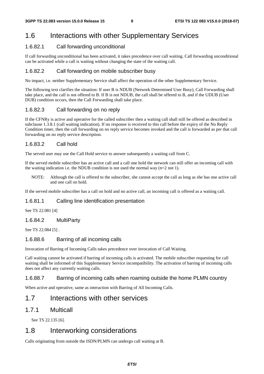## 1.6 Interactions with other Supplementary Services

#### 1.6.82.1 Call forwarding unconditional

If call forwarding unconditional has been activated, it takes precedence over call waiting. Call forwarding unconditional can be activated while a call is waiting without changing the state of the waiting call.

#### 1.6.82.2 Call forwarding on mobile subscriber busy

No impact, i.e. neither Supplementary Service shall affect the operation of the other Supplementary Service.

The following text clarifies the situation: If user B is NDUB (Network Determined User Busy), Call Forwarding shall take place, and the call is not offered to B. If B is not NDUB, the call shall be offered to B, and if the UDUB (User DUB) condition occurs, then the Call Forwarding shall take place.

#### 1.6.82.3 Call forwarding on no reply

If the CFNRy is active and operative for the called subscriber then a waiting call shall still be offered as described in subclause 1.3.8.1 (call waiting indication). If no response is received to this call before the expiry of the No Reply Condition timer, then the call forwarding on no reply service becomes invoked and the call is forwarded as per that call forwarding on no reply service description.

#### 1.6.83.2 Call hold

The served user may use the Call Hold service to answer subsequently a waiting call from C.

If the served mobile subscriber has an active call and a call one hold the network can still offer an incoming call with the waiting indication i.e. the NDUB condition is not used the normal way  $(n=2 \text{ not } 1)$ .

NOTE: Although the call is offered to the subscriber, she cannot accept the call as long as she has one active call and one call on hold.

If the served mobile subscriber has a call on hold and no active call, an incoming call is offered as a waiting call.

#### 1.6.81.1 Calling line identification presentation

See TS 22.081 [4]

#### 1.6.84.2 MultiParty

See TS 22.084 [5] .

#### 1.6.88.6 Barring of all incoming calls

Invocation of Barring of Incoming Calls takes precedence over invocation of Call Waiting.

Call waiting cannot be activated if barring of incoming calls is activated. The mobile subscriber requesting for call waiting shall be informed of this Supplementary Service incompatibility. The activation of barring of incoming calls does not affect any currently waiting calls.

#### 1.6.88.7 Barring of incoming calls when roaming outside the home PLMN country

When active and operative, same as interaction with Barring of All Incoming Calls.

## 1.7 Interactions with other services

#### 1.7.1 Multicall

See TS 22.135 [6].

## 1.8 Interworking considerations

Calls originating from outside the ISDN/PLMN can undergo call waiting at B.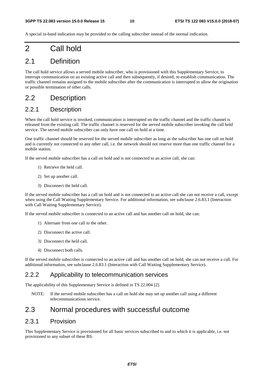A special in-band indication may be provided to the calling subscriber instead of the normal indication.

## 2 Call hold

## 2.1 Definition

The call hold service allows a served mobile subscriber, who is provisioned with this Supplementary Service, to interrupt communication on an existing active call and then subsequently, if desired, re-establish communication. The traffic channel remains assigned to the mobile subscriber after the communication is interrupted to allow the origination or possible termination of other calls.

## 2.2 Description

### 2.2.1 Description

When the call hold service is invoked, communication is interrupted on the traffic channel and the traffic channel is released from the existing call. The traffic channel is reserved for the served mobile subscriber invoking the call hold service. The served mobile subscriber can only have one call on hold at a time.

One traffic channel should be reserved for the served mobile subscriber as long as the subscriber has one call on hold and is currently not connected to any other call, i.e. the network should not reserve more than one traffic channel for a mobile station.

If the served mobile subscriber has a call on hold and is not connected to an active call, she can:

- 1) Retrieve the held call.
- 2) Set up another call.
- 3) Disconnect the held call.

If the served mobile subscriber has a call on hold and is not connected to an active call she can not receive a call, except when using the Call Waiting Supplementary Service. For additional information, see subclause 2.6.83.1 (Interaction with Call Waiting Supplementary Service).

If the served mobile subscriber is connected to an active call and has another call on hold, she can:

- 1) Alternate from one call to the other.
- 2) Disconnect the active call.
- 3) Disconnect the held call.
- 4) Disconnect both calls.

If the served mobile subscriber is connected to an active call and has another call on hold, she can not receive a call. For additional information, see subclause 2.6.83.1 (Interaction with Call Waiting Supplementary Service).

#### 2.2.2 Applicability to telecommunication services

The applicability of this Supplementary Service is defined in TS 22.004 [2].

NOTE: If the served mobile subscriber has a call on hold she may set up another call using a different telecommunications service.

## 2.3 Normal procedures with successful outcome

### 2.3.1 Provision

This Supplementary Service is provisioned for all basic services subscribed to and to which it is applicable, i.e. not provisioned to any subset of these BS.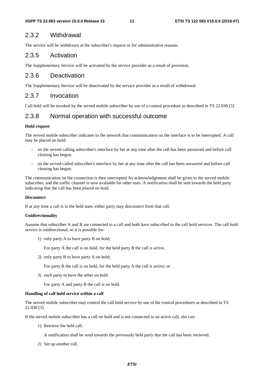## 2.3.2 Withdrawal

The service will be withdrawn at the subscriber's request or for administrative reasons.

### 2.3.5 Activation

The Supplementary Service will be activated by the service provider as a result of provision.

## 2.3.6 Deactivation

The Supplementary Service will be deactivated by the service provider as a result of withdrawal.

## 2.3.7 Invocation

Call hold will be invoked by the served mobile subscriber by use of a control procedure as described in TS 22.030 [3].

## 2.3.8 Normal operation with successful outcome

#### **Hold request**

The served mobile subscriber indicates to the network that communication on the interface is to be interrupted. A call may be placed on hold:

- on the served calling subscriber's interface by her at any time after the call has been answered and before call clearing has begun.
- on the served called subscriber's interface by her at any time after the call has been answered and before call clearing has begun.

The communication on the connection is then interrupted An acknowledgement shall be given to the served mobile subscriber, and the traffic channel is now available for other uses. A notification shall be sent towards the held party indicating that the call has been placed on hold.

#### **Disconnect**

If at any time a call is in the held state, either party may disconnect from that call.

#### **Unidirectionality**

Assume that subscriber A and B are connected to a call and both have subscribed to the call hold services. The call hold service is unidirectional, so it is possible for:

1) only party A to have party B on hold;

For party A the call is on hold, for the held party B the call is active.

2) only party B to have party A on hold;

For party B the call is on hold, for the held party A the call is active; or

3) each party to have the other on hold.

For party A and party B the call is on hold.

#### **Handling of call hold service within a call**

The served mobile subscriber may control the call hold service by use of the control procedures as described in TS 22.030 [3].

If the served mobile subscriber has a call on hold and is not connected to an active call, she can:

1) Retrieve the held call.

A notification shall be send towards the previously held party that the call has been retrieved.

2) Set up another call.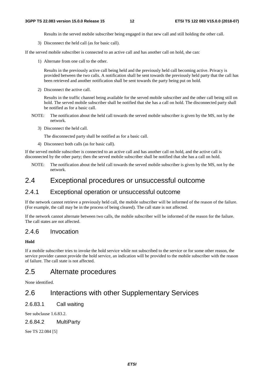Results in the served mobile subscriber being engaged in that new call and still holding the other call.

3) Disconnect the held call (as for basic call).

If the served mobile subscriber is connected to an active call and has another call on hold, she can:

1) Alternate from one call to the other.

 Results in the previously active call being held and the previously held call becoming active. Privacy is provided between the two calls. A notification shall be sent towards the previously held party that the call has been retrieved and another notification shall be sent towards the party being put on hold.

2) Disconnect the active call.

 Results in the traffic channel being available for the served mobile subscriber and the other call being still on hold. The served mobile subscriber shall be notified that she has a call on hold. The disconnected party shall be notified as for a basic call.

- NOTE: The notification about the held call towards the served mobile subscriber is given by the MS, not by the network.
	- 3) Disconnect the held call.

The disconnected party shall be notified as for a basic call.

4) Disconnect both calls (as for basic call).

If the served mobile subscriber is connected to an active call and has another call on hold, and the active call is disconnected by the other party; then the served mobile subscriber shall be notified that she has a call on hold.

NOTE: The notification about the held call towards the served mobile subscriber is given by the MS, not by the network.

## 2.4 Exceptional procedures or unsuccessful outcome

#### 2.4.1 Exceptional operation or unsuccessful outcome

If the network cannot retrieve a previously held call, the mobile subscriber will be informed of the reason of the failure. (For example, the call may be in the process of being cleared). The call state is not affected.

If the network cannot alternate between two calls, the mobile subscriber will be informed of the reason for the failure. The call states are not affected.

### 2.4.6 Invocation

#### **Hold**

If a mobile subscriber tries to invoke the hold service while not subscribed to the service or for some other reason, the service provider cannot provide the hold service, an indication will be provided to the mobile subscriber with the reason of failure. The call state is not affected.

## 2.5 Alternate procedures

None identified.

## 2.6 Interactions with other Supplementary Services

2.6.83.1 Call waiting

See subclause 1.6.83.2.

#### 2.6.84.2 MultiParty

See TS 22.084 [5]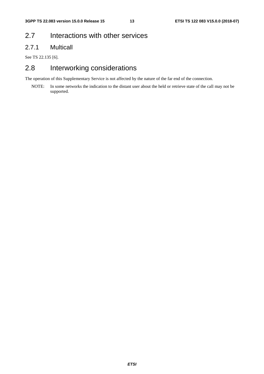## 2.7 Interactions with other services

## 2.7.1 Multicall

See TS 22.135 [6].

## 2.8 Interworking considerations

The operation of this Supplementary Service is not affected by the nature of the far end of the connection.

NOTE: In some networks the indication to the distant user about the held or retrieve state of the call may not be supported.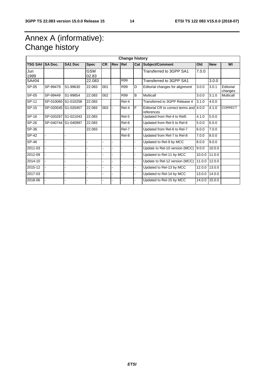## Annex A (informative): Change history

| <b>Change history</b> |                     |                     |                     |           |            |            |                |                                                       |        |            |                      |
|-----------------------|---------------------|---------------------|---------------------|-----------|------------|------------|----------------|-------------------------------------------------------|--------|------------|----------------------|
| <b>TSG SA#</b>        | <b>SA Doc.</b>      | <b>SA1 Doc</b>      | <b>Spec</b>         | <b>CR</b> | <b>Rev</b> | Rel        | Cat            | Subject/Comment                                       | Old    | <b>New</b> | WI                   |
| Jun<br>1999           |                     |                     | <b>GSM</b><br>02.83 |           |            |            |                | Transferred to 3GPP SA1                               | 7.0.0  |            |                      |
| SA#04                 |                     |                     | 22.083              |           |            | R99        |                | Transferred to 3GPP SA1                               |        | 3.0.0      |                      |
| SP-05                 | SP-99479            | S1-99630            | 22.083              | 001       |            | R99        | D              | Editorial changes for alignment                       | 3.0.0  | 3.0.1      | Editorial<br>changes |
| SP-05                 | SP-99449            | S1-99854            | 22.083              | 002       |            | <b>R99</b> | $\overline{B}$ | <b>Multicall</b>                                      | 3.0.0  | 3.1.0      | Multicall            |
| SP-11                 |                     | SP-010065 S1-010258 | 22.083              |           |            | Rel-4      |                | Transferred to 3GPP Release 4                         | 3.1.0  | 4.0.0      |                      |
| SP-15                 | SP-020045 S1-020457 |                     | 22.083              | 003       |            | Rel-4      | F              | Editorial CR to correct terms and 4.0.0<br>references |        | 4.1.0      | <b>CORRECT</b>       |
| SP-16                 |                     | SP-020267 S1-021043 | 22.083              |           |            | Rel-5      |                | Updated from Rel-4 to Rel5                            | 4.1.0  | 5.0.0      |                      |
| SP-26                 | SP-040744 S1-040997 |                     | 22.083              |           |            | Rel-6      |                | Updated from Rel-5 to Rel-6                           | 5.0.0  | 6.0.0      |                      |
| $SP-36$               |                     |                     | 22.083              |           |            | Rel-7      |                | Updated from Rel-6 to Rel-7                           | 6.0.0  | 7.0.0      |                      |
| <b>SP-42</b>          |                     |                     |                     |           |            | Rel-8      |                | Updated from Rel-7 to Rel-8                           | 7.0.0  | 8.0.0      |                      |
| <b>SP-46</b>          |                     |                     |                     |           |            |            |                | Updated to Rel-9 by MCC                               | 8.0.0  | 9.0.0      |                      |
| 2011-03               |                     |                     |                     |           |            | ä,         |                | Update to Rel-10 version (MCC)                        | 9.0.0  | 10.0.0     |                      |
| 2012-09               |                     |                     |                     |           |            |            |                | Updated to Rel-11 by MCC                              | 10.0.0 | 11.0.0     |                      |
| 2014-10               |                     |                     |                     |           |            |            |                | Update to Rel-12 version (MCC)                        | 11.0.0 | 12.0.0     |                      |
| 2015-12               |                     |                     |                     |           |            |            |                | Updated to Rel-13 by MCC                              | 12.0.0 | 13.0.0     |                      |
| 2017-03               |                     |                     |                     |           |            |            |                | Updated to Rel-14 by MCC                              | 13.0.0 | 14.0.0     |                      |
| 2018-06               |                     |                     |                     |           |            |            |                | Updated to Rel-15 by MCC                              | 14.0.0 | 15.0.0     |                      |